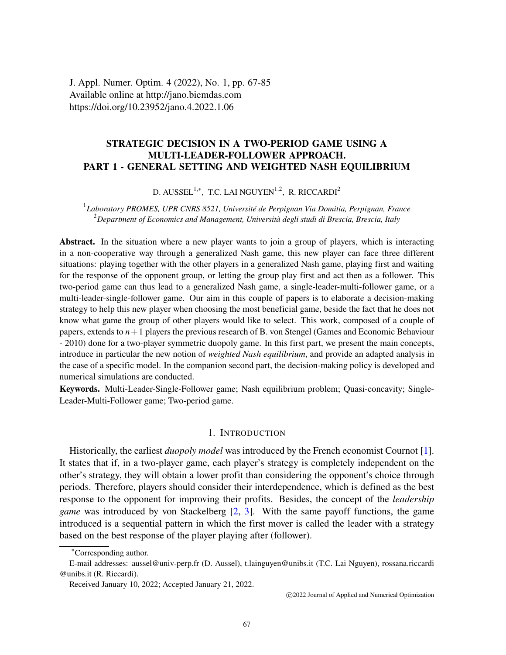J. Appl. Numer. Optim. 4 (2022), No. 1, pp. 67-85 Available online at http://jano.biemdas.com https://doi.org/10.23952/jano.4.2022.1.06

## **STRATEGIC DECISION IN A TWO-PERIOD GAME USING A MULTI-LEADER-FOLLOWER APPROACH. PART 1 - GENERAL SETTING AND WEIGHTED NASH EQUILIBRIUM**

### D. AUSSEL $^{1,\ast}$ , T.C. LAI NGUYEN $^{1,2}$ , R. RICCARDI $^2$

### 1 *Laboratory PROMES, UPR CNRS 8521, Université de Perpignan Via Domitia, Perpignan, France* <sup>2</sup>*Department of Economics and Management, Università degli studi di Brescia, Brescia, Italy*

**Abstract.** In the situation where a new player wants to join a group of players, which is interacting in a non-cooperative way through a generalized Nash game, this new player can face three different situations: playing together with the other players in a generalized Nash game, playing first and waiting for the response of the opponent group, or letting the group play first and act then as a follower. This two-period game can thus lead to a generalized Nash game, a single-leader-multi-follower game, or a multi-leader-single-follower game. Our aim in this couple of papers is to elaborate a decision-making strategy to help this new player when choosing the most beneficial game, beside the fact that he does not know what game the group of other players would like to select. This work, composed of a couple of papers, extends to  $n+1$  players the previous research of B. von Stengel (Games and Economic Behaviour - 2010) done for a two-player symmetric duopoly game. In this first part, we present the main concepts, introduce in particular the new notion of *weighted Nash equilibrium*, and provide an adapted analysis in the case of a specific model. In the companion second part, the decision-making policy is developed and numerical simulations are conducted.

**Keywords.** Multi-Leader-Single-Follower game; Nash equilibrium problem; Quasi-concavity; Single-Leader-Multi-Follower game; Two-period game.

#### 1. INTRODUCTION

Historically, the earliest *duopoly model* was introduced by the French economist Cournot [\[1\]](#page-18-0). It states that if, in a two-player game, each player's strategy is completely independent on the other's strategy, they will obtain a lower profit than considering the opponent's choice through periods. Therefore, players should consider their interdependence, which is defined as the best response to the opponent for improving their profits. Besides, the concept of the *leadership game* was introduced by von Stackelberg [\[2,](#page-18-1) [3\]](#page-18-2). With the same payoff functions, the game introduced is a sequential pattern in which the first mover is called the leader with a strategy based on the best response of the player playing after (follower).

<sup>∗</sup>Corresponding author.

E-mail addresses: aussel@univ-perp.fr (D. Aussel), t.lainguyen@unibs.it (T.C. Lai Nguyen), rossana.riccardi @unibs.it (R. Riccardi).

Received January 10, 2022; Accepted January 21, 2022.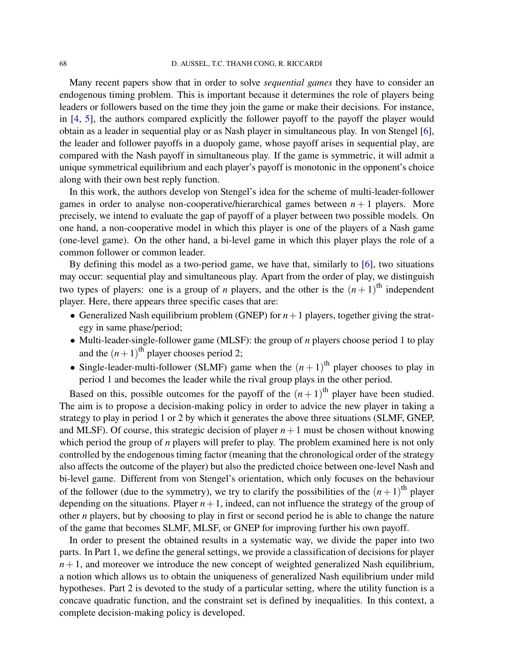Many recent papers show that in order to solve *sequential games* they have to consider an endogenous timing problem. This is important because it determines the role of players being leaders or followers based on the time they join the game or make their decisions. For instance, in [\[4,](#page-18-3) [5\]](#page-18-4), the authors compared explicitly the follower payoff to the payoff the player would obtain as a leader in sequential play or as Nash player in simultaneous play. In von Stengel [\[6\]](#page-18-5), the leader and follower payoffs in a duopoly game, whose payoff arises in sequential play, are compared with the Nash payoff in simultaneous play. If the game is symmetric, it will admit a unique symmetrical equilibrium and each player's payoff is monotonic in the opponent's choice along with their own best reply function.

In this work, the authors develop von Stengel's idea for the scheme of multi-leader-follower games in order to analyse non-cooperative/hierarchical games between  $n + 1$  players. More precisely, we intend to evaluate the gap of payoff of a player between two possible models. On one hand, a non-cooperative model in which this player is one of the players of a Nash game (one-level game). On the other hand, a bi-level game in which this player plays the role of a common follower or common leader.

By defining this model as a two-period game, we have that, similarly to [\[6\]](#page-18-5), two situations may occur: sequential play and simultaneous play. Apart from the order of play, we distinguish two types of players: one is a group of *n* players, and the other is the  $(n+1)$ <sup>th</sup> independent player. Here, there appears three specific cases that are:

- Generalized Nash equilibrium problem (GNEP) for  $n+1$  players, together giving the strategy in same phase/period;
- Multi-leader-single-follower game (MLSF): the group of *n* players choose period 1 to play and the  $(n+1)$ <sup>th</sup> player chooses period 2;
- Single-leader-multi-follower (SLMF) game when the  $(n+1)$ <sup>th</sup> player chooses to play in period 1 and becomes the leader while the rival group plays in the other period.

Based on this, possible outcomes for the payoff of the  $(n+1)$ <sup>th</sup> player have been studied. The aim is to propose a decision-making policy in order to advice the new player in taking a strategy to play in period 1 or 2 by which it generates the above three situations (SLMF, GNEP, and MLSF). Of course, this strategic decision of player  $n+1$  must be chosen without knowing which period the group of *n* players will prefer to play. The problem examined here is not only controlled by the endogenous timing factor (meaning that the chronological order of the strategy also affects the outcome of the player) but also the predicted choice between one-level Nash and bi-level game. Different from von Stengel's orientation, which only focuses on the behaviour of the follower (due to the symmetry), we try to clarify the possibilities of the  $(n+1)$ <sup>th</sup> player depending on the situations. Player  $n+1$ , indeed, can not influence the strategy of the group of other *n* players, but by choosing to play in first or second period he is able to change the nature of the game that becomes SLMF, MLSF, or GNEP for improving further his own payoff.

In order to present the obtained results in a systematic way, we divide the paper into two parts. In Part 1, we define the general settings, we provide a classification of decisions for player  $n+1$ , and moreover we introduce the new concept of weighted generalized Nash equilibrium, a notion which allows us to obtain the uniqueness of generalized Nash equilibrium under mild hypotheses. Part 2 is devoted to the study of a particular setting, where the utility function is a concave quadratic function, and the constraint set is defined by inequalities. In this context, a complete decision-making policy is developed.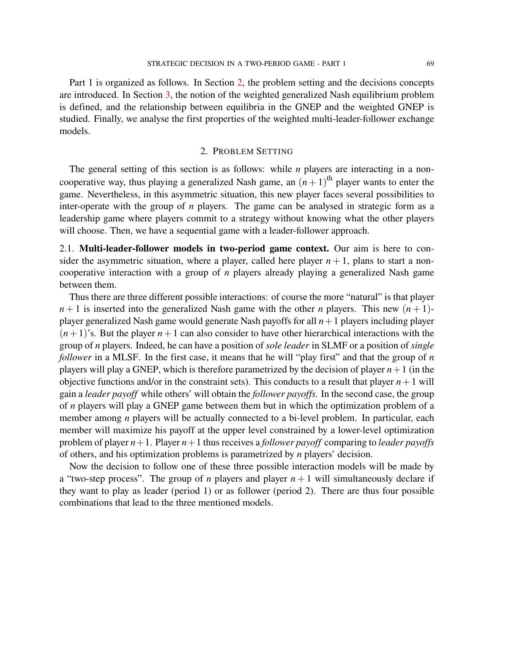Part 1 is organized as follows. In Section [2,](#page-2-0) the problem setting and the decisions concepts are introduced. In Section [3,](#page-8-0) the notion of the weighted generalized Nash equilibrium problem is defined, and the relationship between equilibria in the GNEP and the weighted GNEP is studied. Finally, we analyse the first properties of the weighted multi-leader-follower exchange models.

#### 2. PROBLEM SETTING

<span id="page-2-0"></span>The general setting of this section is as follows: while *n* players are interacting in a noncooperative way, thus playing a generalized Nash game, an  $(n+1)$ <sup>th</sup> player wants to enter the game. Nevertheless, in this asymmetric situation, this new player faces several possibilities to inter-operate with the group of *n* players. The game can be analysed in strategic form as a leadership game where players commit to a strategy without knowing what the other players will choose. Then, we have a sequential game with a leader-follower approach.

2.1. **Multi-leader-follower models in two-period game context.** Our aim is here to consider the asymmetric situation, where a player, called here player  $n + 1$ , plans to start a noncooperative interaction with a group of *n* players already playing a generalized Nash game between them.

Thus there are three different possible interactions: of course the more "natural" is that player  $n+1$  is inserted into the generalized Nash game with the other *n* players. This new  $(n+1)$ player generalized Nash game would generate Nash payoffs for all *n*+1 players including player  $(n+1)$ 's. But the player  $n+1$  can also consider to have other hierarchical interactions with the group of *n* players. Indeed, he can have a position of *sole leader* in SLMF or a position of *single follower* in a MLSF. In the first case, it means that he will "play first" and that the group of *n* players will play a GNEP, which is therefore parametrized by the decision of player  $n+1$  (in the objective functions and/or in the constraint sets). This conducts to a result that player  $n+1$  will gain a *leader payoff* while others' will obtain the *follower payoffs*. In the second case, the group of *n* players will play a GNEP game between them but in which the optimization problem of a member among *n* players will be actually connected to a bi-level problem. In particular, each member will maximize his payoff at the upper level constrained by a lower-level optimization problem of player *n*+1. Player *n*+1 thus receives a *follower payoff* comparing to *leader payoffs* of others, and his optimization problems is parametrized by *n* players' decision.

Now the decision to follow one of these three possible interaction models will be made by a "two-step process". The group of *n* players and player  $n+1$  will simultaneously declare if they want to play as leader (period 1) or as follower (period 2). There are thus four possible combinations that lead to the three mentioned models.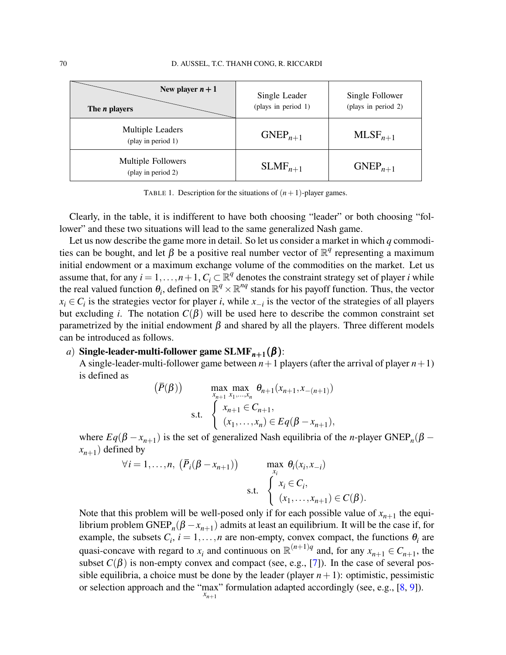| New player $n+1$<br>The <i>n</i> players        | Single Leader<br>(plays in period 1) | Single Follower<br>(plays in period 2) |
|-------------------------------------------------|--------------------------------------|----------------------------------------|
| Multiple Leaders<br>(play in period $1$ )       | $GNEP_{n+1}$                         | $MLSF_{n+1}$                           |
| <b>Multiple Followers</b><br>(play in period 2) | $SLMF_{n+1}$                         | $GNEP_{n+1}$                           |

TABLE 1. Description for the situations of  $(n+1)$ -player games.

Clearly, in the table, it is indifferent to have both choosing "leader" or both choosing "follower" and these two situations will lead to the same generalized Nash game.

Let us now describe the game more in detail. So let us consider a market in which *q* commodities can be bought, and let  $\beta$  be a positive real number vector of  $\mathbb{R}^q$  representing a maximum initial endowment or a maximum exchange volume of the commodities on the market. Let us assume that, for any  $i = 1, ..., n + 1$ ,  $C_i \subset \mathbb{R}^q$  denotes the constraint strategy set of player *i* while the real valued function  $\theta_i$ , defined on  $\mathbb{R}^q \times \mathbb{R}^{nq}$  stands for his payoff function. Thus, the vector  $x_i \in C_i$  is the strategies vector for player *i*, while  $x_{-i}$  is the vector of the strategies of all players but excluding *i*. The notation  $C(\beta)$  will be used here to describe the common constraint set parametrized by the initial endowment  $\beta$  and shared by all the players. Three different models can be introduced as follows.

## *a*) **Single-leader-multi-follower game SLMF***n*+<sup>1</sup> (β ):

A single-leader-multi-follower game between  $n+1$  players (after the arrival of player  $n+1$ ) is defined as

$$
(\bar{P}(\beta)) \qquad \max_{x_{n+1}} \max_{x_1, \dots, x_n} \theta_{n+1}(x_{n+1}, x_{-(n+1)})
$$
  
s.t. 
$$
\begin{cases} x_{n+1} \in C_{n+1}, \\ (x_1, \dots, x_n) \in Eq(\beta - x_{n+1}), \end{cases}
$$

where  $Eq(\beta - x_{n+1})$  is the set of generalized Nash equilibria of the *n*-player GNEP<sub>*n*</sub>( $\beta$  –  $(x_{n+1})$  defined by

$$
\forall i = 1, \dots, n, \ \left(\bar{P}_i(\beta - x_{n+1})\right) \qquad \max_{x_i} \theta_i(x_i, x_{-i})
$$
  
s.t. 
$$
\begin{cases} x_i \in C_i, \\ (x_1, \dots, x_{n+1}) \in C(\beta). \end{cases}
$$

Note that this problem will be well-posed only if for each possible value of  $x_{n+1}$  the equilibrium problem  $\text{GNEP}_n(\beta - x_{n+1})$  admits at least an equilibrium. It will be the case if, for example, the subsets  $C_i$ ,  $i = 1, ..., n$  are non-empty, convex compact, the functions  $\theta_i$  are quasi-concave with regard to  $x_i$  and continuous on  $\mathbb{R}^{(n+1)q}$  and, for any  $x_{n+1} \in C_{n+1}$ , the subset  $C(\beta)$  is non-empty convex and compact (see, e.g., [\[7\]](#page-18-6)). In the case of several possible equilibria, a choice must be done by the leader (player  $n+1$ ): optimistic, pessimistic or selection approach and the "max" formulation adapted accordingly (see, e.g., [\[8,](#page-18-7) [9\]](#page-18-8)). *xn*+<sup>1</sup>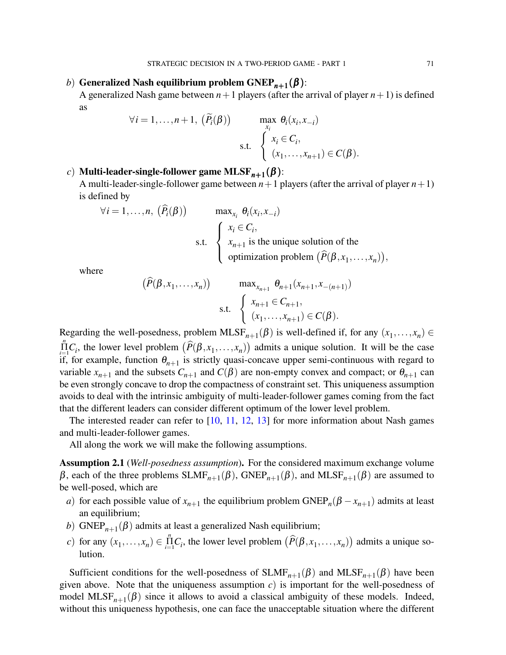## *b*) **Generalized Nash equilibrium problem**  $\text{GNEP}_{n+1}(\beta)$ **:**

A generalized Nash game between  $n+1$  players (after the arrival of player  $n+1$ ) is defined as

$$
\forall i = 1, \dots, n+1, \; (\widetilde{P}_i(\beta)) \qquad \max_{x_i} \theta_i(x_i, x_{-i})
$$
  
s.t. 
$$
\begin{cases} x_i \in C_i, \\ (x_1, \dots, x_{n+1}) \in C(\beta). \end{cases}
$$

## *c*) **Multi-leader-single-follower game MLSF***n*+<sup>1</sup> (β ):

A multi-leader-single-follower game between  $n+1$  players (after the arrival of player  $n+1$ ) is defined by

$$
\forall i = 1,...,n, \ (\hat{P}_i(\beta)) \qquad \max_{x_i} \theta_i(x_i, x_{-i})
$$
  
s.t. 
$$
\begin{cases} x_i \in C_i, \\ x_{n+1} \text{ is the unique solution of the} \\ \text{optimization problem } (\hat{P}(\beta, x_1,...,x_n)), \end{cases}
$$

where

$$
(\widehat{P}(\beta, x_1, ..., x_n)) \qquad \max_{x_{n+1}} \theta_{n+1}(x_{n+1}, x_{-(n+1)})
$$
  
s.t. 
$$
\begin{cases} x_{n+1} \in C_{n+1}, \\ (x_1, ..., x_{n+1}) \in C(\beta). \end{cases}
$$

Regarding the well-posedness, problem  $MLSF_{n+1}(\beta)$  is well-defined if, for any  $(x_1,...,x_n) \in$  $\prod_{i=1}^{n} C_i$ , the lower level problem  $(\widehat{P}(\beta, x_1, \ldots, x_n))$  admits a unique solution. It will be the case if, for example, function  $\theta_{n+1}$  is strictly quasi-concave upper semi-continuous with regard to variable  $x_{n+1}$  and the subsets  $C_{n+1}$  and  $C(\beta)$  are non-empty convex and compact; or  $\theta_{n+1}$  can be even strongly concave to drop the compactness of constraint set. This uniqueness assumption avoids to deal with the intrinsic ambiguity of multi-leader-follower games coming from the fact that the different leaders can consider different optimum of the lower level problem.

The interested reader can refer to [\[10,](#page-18-9) [11,](#page-18-10) [12,](#page-18-11) [13\]](#page-18-12) for more information about Nash games and multi-leader-follower games.

All along the work we will make the following assumptions.

<span id="page-4-0"></span>**Assumption 2.1** (*Well-posedness assumption*)**.** For the considered maximum exchange volume β, each of the three problems  $SLMF_{n+1}(\beta)$ ,  $GNEP_{n+1}(\beta)$ , and  $MLSF_{n+1}(\beta)$  are assumed to be well-posed, which are

- *a*) for each possible value of  $x_{n+1}$  the equilibrium problem  $\text{GNEP}_n(\beta x_{n+1})$  admits at least an equilibrium;
- *b*)  $\text{GNEP}_{n+1}(\beta)$  admits at least a generalized Nash equilibrium;
- *c*) for any  $(x_1, ..., x_n) \in \prod_{i=1}^n C_i$ , the lower level problem  $(\widehat{P}(\beta, x_1, ..., x_n))$  admits a unique solution.

Sufficient conditions for the well-posedness of  $SLMF_{n+1}(\beta)$  and  $MLSF_{n+1}(\beta)$  have been given above. Note that the uniqueness assumption *c*) is important for the well-posedness of model  $MLSF_{n+1}(\beta)$  since it allows to avoid a classical ambiguity of these models. Indeed, without this uniqueness hypothesis, one can face the unacceptable situation where the different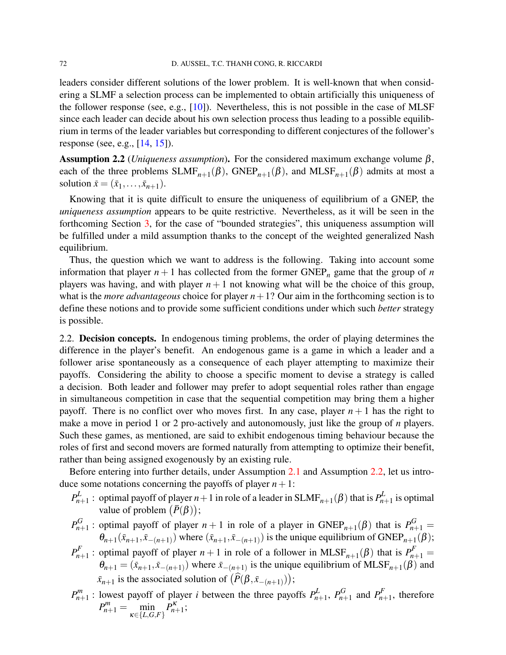leaders consider different solutions of the lower problem. It is well-known that when considering a SLMF a selection process can be implemented to obtain artificially this uniqueness of the follower response (see, e.g.,  $[10]$ ). Nevertheless, this is not possible in the case of MLSF since each leader can decide about his own selection process thus leading to a possible equilibrium in terms of the leader variables but corresponding to different conjectures of the follower's response (see, e.g., [\[14,](#page-18-13) [15\]](#page-18-14)).

<span id="page-5-0"></span>**Assumption 2.2** (*Uniqueness assumption*). For the considered maximum exchange volume  $\beta$ , each of the three problems  $SLMF_{n+1}(\beta)$ ,  $GNEP_{n+1}(\beta)$ , and  $MLSF_{n+1}(\beta)$  admits at most a solution  $\bar{x} = (\bar{x}_1, ..., \bar{x}_{n+1}).$ 

Knowing that it is quite difficult to ensure the uniqueness of equilibrium of a GNEP, the *uniqueness assumption* appears to be quite restrictive. Nevertheless, as it will be seen in the forthcoming Section [3,](#page-8-0) for the case of "bounded strategies", this uniqueness assumption will be fulfilled under a mild assumption thanks to the concept of the weighted generalized Nash equilibrium.

Thus, the question which we want to address is the following. Taking into account some information that player  $n + 1$  has collected from the former GNEP<sub>n</sub> game that the group of *n* players was having, and with player  $n+1$  not knowing what will be the choice of this group, what is the *more advantageous* choice for player  $n+1$ ? Our aim in the forthcoming section is to define these notions and to provide some sufficient conditions under which such *better* strategy is possible.

2.2. **Decision concepts.** In endogenous timing problems, the order of playing determines the difference in the player's benefit. An endogenous game is a game in which a leader and a follower arise spontaneously as a consequence of each player attempting to maximize their payoffs. Considering the ability to choose a specific moment to devise a strategy is called a decision. Both leader and follower may prefer to adopt sequential roles rather than engage in simultaneous competition in case that the sequential competition may bring them a higher payoff. There is no conflict over who moves first. In any case, player  $n+1$  has the right to make a move in period 1 or 2 pro-actively and autonomously, just like the group of *n* players. Such these games, as mentioned, are said to exhibit endogenous timing behaviour because the roles of first and second movers are formed naturally from attempting to optimize their benefit, rather than being assigned exogenously by an existing rule.

Before entering into further details, under Assumption [2.1](#page-4-0) and Assumption [2.2,](#page-5-0) let us introduce some notations concerning the payoffs of player  $n+1$ :

- $P^L_n$  $p_{n+1}^L$  : optimal payoff of player  $n+1$  in role of a leader in  $\text{SLMF}_{n+1}(\beta)$  that is  $P_n^L$  $p_{n+1}^L$  is optimal value of problem  $(\bar{P}(\beta))$ ;
- $P_{n-}^G$  $p_{n+1}^G$ : optimal payoff of player  $n+1$  in role of a player in  $\text{GNEP}_{n+1}(\beta)$  that is  $P_{n+1}^G =$  $\theta_{n+1}(\bar{x}_{n+1}, \bar{x}_{-(n+1)})$  where  $(\bar{x}_{n+1}, \bar{x}_{-(n+1)})$  is the unique equilibrium of GNEP<sub>*n*+1</sub>( $\beta$ );
- $P_{n}^{\bar{F}}$  $p_{n+1}^F$ : optimal payoff of player  $n+1$  in role of a follower in MLSF<sub>n+1</sub>( $\beta$ ) that is  $P_{n+1}^F$  =  $\theta_{n+1} = (\bar{x}_{n+1}, \bar{x}_{-(n+1)})$  where  $\bar{x}_{-(n+1)}$  is the unique equilibrium of MLSF<sub>n+1</sub>( $\beta$ ) and  $\bar{x}_{n+1}$  is the associated solution of  $(\hat{P}(\beta, \bar{x}_{-(n+1)}));$
- $P_{n-}^m$  $p_{n+1}^m$ : lowest payoff of player *i* between the three payoffs  $P_{n+1}^L$  $P_{n+1}^L$ ,  $P_{n-1}^G$  $P_{n+1}^G$  and  $P_{n}^F$  $p_{n+1}^r$ , therefore  $P_{n+1}^m = \min_{\kappa \in \{L, G, F\}}$  $P_{n+1}^{\kappa}$ ;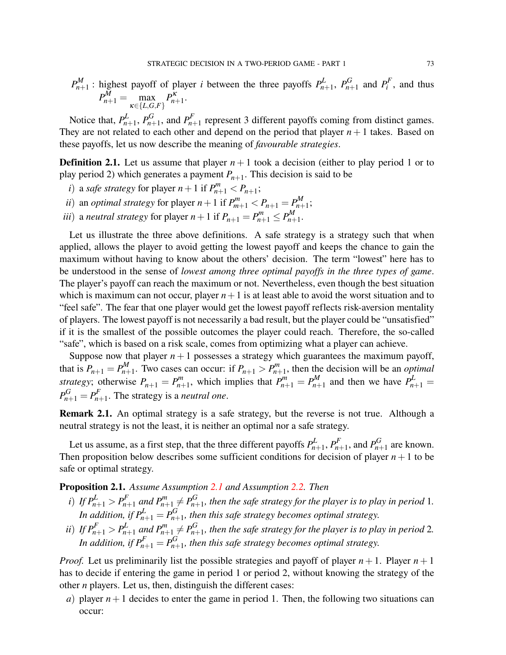$$
P_{n+1}^M
$$
: highest payoff of player *i* between the three payoffs  $P_{n+1}^L$ ,  $P_{n+1}^G$  and  $P_i^F$ , and thus  $P_{n+1}^M = \max_{\kappa \in \{L, G, F\}} P_{n+1}^{\kappa}$ .

Notice that, *P L*  $P_{n+1}^L$ ,  $P_{n-1}^G$  $p_{n+1}^G$ , and  $P_{n}^F$  $n_{n+1}^r$  represent 3 different payoffs coming from distinct games. They are not related to each other and depend on the period that player  $n + 1$  takes. Based on these payoffs, let us now describe the meaning of *favourable strategies*.

<span id="page-6-2"></span>**Definition 2.1.** Let us assume that player  $n+1$  took a decision (either to play period 1 or to play period 2) which generates a payment *Pn*+<sup>1</sup> . This decision is said to be

- *i*) a *safe strategy* for player  $n+1$  if  $P_{n+1}^m < P_{n+1}$ ;
- *ii*) an *optimal strategy* for player  $n+1$  if  $P_{m+1}^m < P_{n+1} = P_{n+1}^M$  $\frac{m}{n+1}$ ;
- *iii*) a *neutral strategy* for player  $n+1$  if  $P_{n+1} = P_{n+1}^m \leq P_{n+1}^M$ р/И<br>n+1·

Let us illustrate the three above definitions. A safe strategy is a strategy such that when applied, allows the player to avoid getting the lowest payoff and keeps the chance to gain the maximum without having to know about the others' decision. The term "lowest" here has to be understood in the sense of *lowest among three optimal payoffs in the three types of game*. The player's payoff can reach the maximum or not. Nevertheless, even though the best situation which is maximum can not occur, player  $n+1$  is at least able to avoid the worst situation and to "feel safe". The fear that one player would get the lowest payoff reflects risk-aversion mentality of players. The lowest payoff is not necessarily a bad result, but the player could be "unsatisfied" if it is the smallest of the possible outcomes the player could reach. Therefore, the so-called "safe", which is based on a risk scale, comes from optimizing what a player can achieve.

Suppose now that player  $n+1$  possesses a strategy which guarantees the maximum payoff, that is  $P_{n+1} = P_{n+1}^M$  $P_{n+1}^M$ . Two cases can occur: if  $P_{n+1} > P_{n+1}^M$  $p_{n+1}^m$ , then the decision will be an *optimal strategy*; otherwise  $P_{n+1} = P_{n+1}^m$  $p_{n+1}^m$ , which implies that  $P_{n+1}^m = P_{n+1}^M$  $p_{n+1}^M$  and then we have  $P_{n+1}^L =$  $P_{n+1}^G = P_{n}^F$  $n_{n+1}^r$ . The strategy is a *neutral one*.

<span id="page-6-1"></span>**Remark 2.1.** An optimal strategy is a safe strategy, but the reverse is not true. Although a neutral strategy is not the least, it is neither an optimal nor a safe strategy.

Let us assume, as a first step, that the three different payoffs  $P_h^L$  $P_{n+1}^L, P_{n}^F$  $p_{n+1}^F$ , and  $P_{n+1}^G$  $p_{n+1}^{\sigma}$  are known. Then proposition below describes some sufficient conditions for decision of player  $n+1$  to be safe or optimal strategy.

<span id="page-6-0"></span>**Proposition 2.1.** *Assume Assumption [2.1](#page-4-0) and Assumption [2.2.](#page-5-0) Then*

- *i*) If  $P_{n+1}^L > P_{n+1}^F$  and  $P_{n+1}^m \neq P_{n+1}^G$  $n_{n+1}^{\sigma}$ , then the safe strategy for the player is to play in period 1. *In addition, if*  $P_{n+1}^L = P_{n+1}^G$  $n_{n+1}^{\sigma}$ , then this safe strategy becomes optimal strategy.
- *ii*) *If*  $P_{n+1}^F > P_{n+1}^L$  *and*  $P_{n+1}^m \neq P_{n+1}^G$  $n_{n+1}^{\sigma}$ , then the safe strategy for the player is to play in period 2. *In addition, if*  $P_{n+1}^F=P_{n+1}^G$  $n_{n+1}^{\sigma}$ , then this safe strategy becomes optimal strategy.

*Proof.* Let us preliminarily list the possible strategies and payoff of player  $n + 1$ . Player  $n + 1$ has to decide if entering the game in period 1 or period 2, without knowing the strategy of the other *n* players. Let us, then, distinguish the different cases:

*a*) player  $n+1$  decides to enter the game in period 1. Then, the following two situations can occur: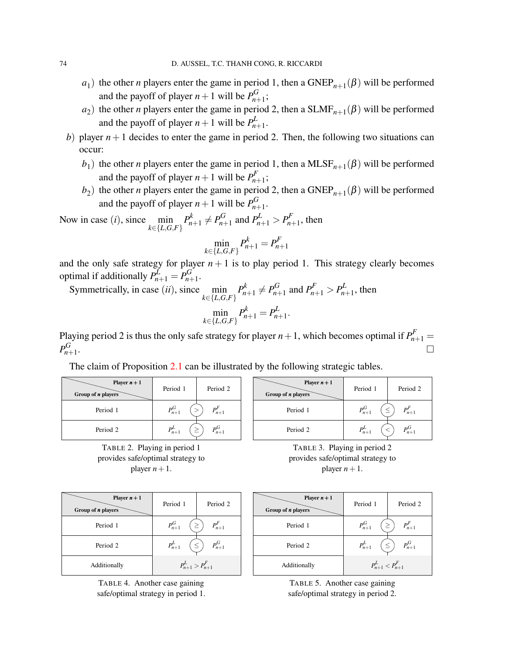- $a_1$ ) the other *n* players enter the game in period 1, then a GNEP<sub>*n*+1</sub>( $\beta$ ) will be performed and the payoff of player  $n+1$  will be  $P_{n+1}^G$  $_{n+1}^{0}$ ;
- $a_2$ ) the other *n* players enter the game in period 2, then a SLMF<sub>*n*+1</sub>( $\beta$ ) will be performed and the payoff of player  $n+1$  will be  $P_h^L$ ,*∟*<br>*n*+1・
- *b*) player  $n+1$  decides to enter the game in period 2. Then, the following two situations can occur:
	- $b_1$ ) the other *n* players enter the game in period 1, then a MLSF<sub>*n*+1</sub>( $\beta$ ) will be performed and the payoff of player  $n+1$  will be  $P_{n-1}^F$  $_{n+1}^{r}$ ;
	- $b_2$ ) the other *n* players enter the game in period 2, then a GNEP<sub>*n*+1</sub>( $\beta$ ) will be performed and the payoff of player  $n+1$  will be  $P_{n+1}^G$ ,<sub>տ</sub><br>*n*+1·

Now in case (*i*), since  $\min_{k \in \{L, G, F\}} P_{n+1}^k \neq P_{n+1}^G$  $P_{n+1}^G$  and  $P_{n+1}^L > P_{n+1}^F$  $n+1$ <sup>r</sup>, then

$$
\min_{k \in \{L, G, F\}} P_{n+1}^k = P_{n+1}^F
$$

and the only safe strategy for player  $n + 1$  is to play period 1. This strategy clearly becomes optimal if additionally  $P^L_{n+1} = P^G_{n+1}$ ,<sub>u</sub><br>*n*+1・

Symmetrically, in case (*ii*), since  $\min_{k \in \{L, G, F\}} P_{n+1}^k \neq P_{n+1}^G$  $P_{n+1}^G$  and  $P_{n+1}^F > P_{n+1}^L$  $n+1$ <sup>L</sup>, then  $\min_{k \in \{L, G, F\}} P_{n+1}^k = P_{n+1}^L$ ,*լ*<br>*n*+1·

Playing period 2 is thus the only safe strategy for player  $n+1$ , which becomes optimal if  $P_{n+1}^F =$  $P_{n-}^G$ *n*+1 . The contract of the contract of the contract of the contract of the contract of  $\Box$ 

The claim of Proposition [2.1](#page-6-0) can be illustrated by the following strategic tables.

| Player $n+1$<br>Group of <i>n</i> players | Period 1                         | Period 2    |
|-------------------------------------------|----------------------------------|-------------|
| Period 1                                  | $P_{n+1}^G$                      | $P_{n+1}^r$ |
| Period 2                                  | $P_{n+1}^{\scriptscriptstyle L}$ | $n+1$       |

TABLE 2. Playing in period 1 provides safe/optimal strategy to player  $n+1$ .

| Player $n+1$<br>Group of <i>n</i> players | Period 1             | Period <sub>2</sub> |
|-------------------------------------------|----------------------|---------------------|
| Period 1                                  | $P_{n+1}^G$          | $P_{n+1}^F$         |
| Period 2                                  | $P_{n+1}^{\text{L}}$ | $P_{n+1}^G$         |
|                                           |                      |                     |

TABLE 3. Playing in period 2 provides safe/optimal strategy to player  $n+1$ .

| Player $n+1$<br>Group of <i>n</i> players | Period 1                    | Period 2              |
|-------------------------------------------|-----------------------------|-----------------------|
| Period 1                                  | $P_{n+1}^G$                 | $P_{n+1}^F$<br>$\geq$ |
| Period 2                                  | $P_{n+1}^L$                 | $P_{n+1}^G$           |
| Additionally                              | $P_{n+1}^{L} > P_{n+1}^{F}$ |                       |

TABLE 4. Another case gaining safe/optimal strategy in period 1.

| Player $n+1$<br>Group of <i>n</i> players | Period 1                | Period 2         |
|-------------------------------------------|-------------------------|------------------|
| Period 1                                  | $P_{n+1}^G$             | $P_{n+1}^F$<br>≥ |
| Period 2                                  | $P_{n+1}^L$             | $P_{n+1}^G$      |
| Additionally                              | $P_{n+1}^L < P_{n+1}^F$ |                  |

TABLE 5. Another case gaining safe/optimal strategy in period 2.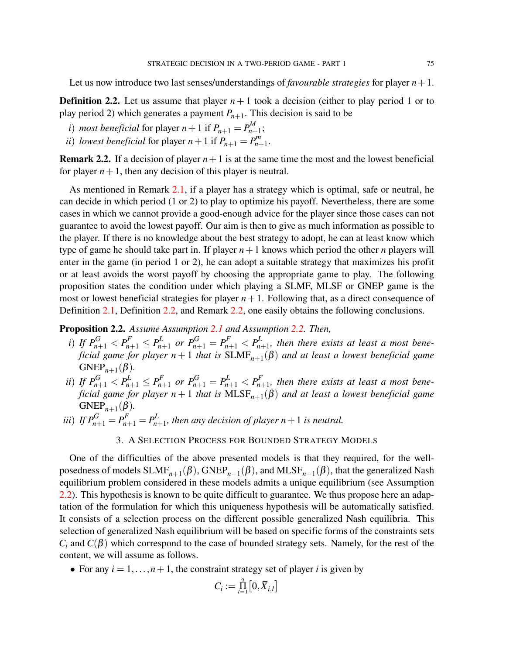Let us now introduce two last senses/understandings of *favourable strategies* for player  $n+1$ .

<span id="page-8-1"></span>**Definition 2.2.** Let us assume that player  $n+1$  took a decision (either to play period 1 or to play period 2) which generates a payment *Pn*+<sup>1</sup> . This decision is said to be

- *i*) *most beneficial* for player  $n+1$  if  $P_{n+1} = P_{n+1}^M$ p<sup>m</sup>,<br>n+1;
- *ii*) *lowest beneficial* for player  $n+1$  if  $P_{n+1} = P_{n+1}^m$  $n+n+1$ .

<span id="page-8-2"></span>**Remark 2.2.** If a decision of player  $n+1$  is at the same time the most and the lowest beneficial for player  $n+1$ , then any decision of this player is neutral.

As mentioned in Remark [2.1,](#page-6-1) if a player has a strategy which is optimal, safe or neutral, he can decide in which period (1 or 2) to play to optimize his payoff. Nevertheless, there are some cases in which we cannot provide a good-enough advice for the player since those cases can not guarantee to avoid the lowest payoff. Our aim is then to give as much information as possible to the player. If there is no knowledge about the best strategy to adopt, he can at least know which type of game he should take part in. If player  $n+1$  knows which period the other *n* players will enter in the game (in period 1 or 2), he can adopt a suitable strategy that maximizes his profit or at least avoids the worst payoff by choosing the appropriate game to play. The following proposition states the condition under which playing a SLMF, MLSF or GNEP game is the most or lowest beneficial strategies for player  $n+1$ . Following that, as a direct consequence of Definition [2.1,](#page-6-2) Definition [2.2,](#page-8-1) and Remark [2.2,](#page-8-2) one easily obtains the following conclusions.

## **Proposition 2.2.** *Assume Assumption [2.1](#page-4-0) and Assumption [2.2.](#page-5-0) Then,*

- *i*) *If*  $P_{n+1}^G < P_{n+1}^E \le P_{n+1}^L$  or  $P_{n+1}^G = P_{n+1}^F < P_n^L$  $p_{n+1}^{\mu}$ , then there exists at least a most bene*ficial game for player n* + 1 *that is* SLMF*n*+<sup>1</sup> (β) *and at least a lowest beneficial game*  $GNEP_{n+1}(\beta)$ .
- *ii*) *If*  $P_{n+1}^G < P_{n+1}^L \le P_{n+1}^F$  or  $P_{n+1}^G = P_{n+1}^L < P_{n+1}^F$ *n*+1 *, then there exists at least a most beneficial game for player n* + 1 *that is* MLSF*n*+<sup>1</sup> (β) *and at least a lowest beneficial game*  $GNEP_{n+1}(\beta)$ .
- *iii*) *If*  $P_{n+1}^G = P_{n+1}^F = P_n^L$  $\sum_{n+1}^{\mu}$ , then any decision of player  $n+1$  is neutral.

#### 3. A SELECTION PROCESS FOR BOUNDED STRATEGY MODELS

<span id="page-8-0"></span>One of the difficulties of the above presented models is that they required, for the wellposedness of models  $SLMF_{n+1}(\beta)$ ,  $GNEP_{n+1}(\beta)$ , and  $MLSF_{n+1}(\beta)$ , that the generalized Nash equilibrium problem considered in these models admits a unique equilibrium (see Assumption [2.2\)](#page-5-0). This hypothesis is known to be quite difficult to guarantee. We thus propose here an adaptation of the formulation for which this uniqueness hypothesis will be automatically satisfied. It consists of a selection process on the different possible generalized Nash equilibria. This selection of generalized Nash equilibrium will be based on specific forms of the constraints sets  $C_i$  and  $C(\beta)$  which correspond to the case of bounded strategy sets. Namely, for the rest of the content, we will assume as follows.

• For any  $i = 1, \ldots, n + 1$ , the constraint strategy set of player *i* is given by

$$
C_i := \prod_{l=1}^q \left[0, \overline{X}_{i,l}\right]
$$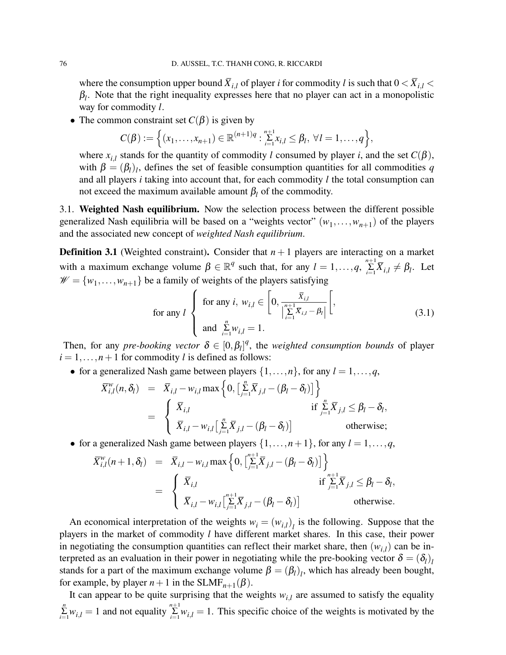where the consumption upper bound  $\overline{X}_{i,l}$  of player *i* for commodity *l* is such that  $0 < \overline{X}_{i,l}$  $\beta_l$ . Note that the right inequality expresses here that no player can act in a monopolistic way for commodity *l*.

• The common constraint set  $C(\beta)$  is given by

$$
C(\beta) := \left\{ (x_1, \ldots, x_{n+1}) \in \mathbb{R}^{(n+1)q} : \sum_{i=1}^{n+1} x_{i,l} \leq \beta_l, \ \forall l = 1, \ldots, q \right\},\
$$

where  $x_{i,l}$  stands for the quantity of commodity *l* consumed by player *i*, and the set  $C(\beta)$ , with  $\beta = (\beta_l)_l$ , defines the set of feasible consumption quantities for all commodities q and all players *i* taking into account that, for each commodity *l* the total consumption can not exceed the maximum available amount  $\beta_l$  of the commodity.

3.1. **Weighted Nash equilibrium.** Now the selection process between the different possible generalized Nash equilibria will be based on a "weights vector"  $(w_1, \ldots, w_{n+1})$  of the players and the associated new concept of *weighted Nash equilibrium*.

<span id="page-9-1"></span>**Definition 3.1** (Weighted constraint). Consider that  $n+1$  players are interacting on a market with a maximum exchange volume  $\beta \in \mathbb{R}^q$  such that, for any  $l = 1, ..., q$ ,  $\sum_{i=1}^{n+1} \overline{X}_{i,l} \neq \beta_l$ . Let  $\mathcal{W} = \{w_1, \dots, w_{n+1}\}\$  be a family of weights of the players satisfying

<span id="page-9-0"></span>for any 
$$
l
$$
  $\left\{\begin{array}{l}\text{for any } i, w_{i,l} \in \left[0, \frac{\bar{X}_{i,l}}{\left|\sum\limits_{i=1}^{n+1} \bar{X}_{i,l} - \beta_l\right|}\right[,\\ \text{and } \sum\limits_{i=1}^{n} w_{i,l} = 1.\end{array}\right. \tag{3.1}$ 

Then, for any *pre-booking vector*  $\delta \in [0, \beta_l]^q$ , the *weighted consumption bounds* of player  $i = 1, \ldots, n+1$  for commodity *l* is defined as follows:

• for a generalized Nash game between players  $\{1,\ldots,n\}$ , for any  $l=1,\ldots,q$ ,

$$
\overline{X}_{i,l}^{w}(n,\delta_{l}) = \overline{X}_{i,l} - w_{i,l} \max \left\{0, \left[\sum_{j=1}^{n} \overline{X}_{j,l} - (\beta_{l} - \delta_{l})\right]\right\}
$$
\n
$$
= \begin{cases}\n\overline{X}_{i,l} & \text{if } \sum_{j=1}^{n} \overline{X}_{j,l} \leq \beta_{l} - \delta_{l}, \\
\overline{X}_{i,l} - w_{i,l} \left[\sum_{j=1}^{n} \overline{X}_{j,l} - (\beta_{l} - \delta_{l})\right] & \text{otherwise};\n\end{cases}
$$

• for a generalized Nash game between players  $\{1,\ldots,n+1\}$ , for any  $l=1,\ldots,q$ ,

$$
\overline{X}_{i,l}^{w}(n+1,\delta_{l}) = \overline{X}_{i,l} - w_{i,l} \max \left\{0, \left[\sum_{j=1}^{n+1} \overline{X}_{j,l} - (\beta_{l} - \delta_{l})\right] \right\}
$$
\n
$$
= \begin{cases}\n\overline{X}_{i,l} & \text{if } \sum_{j=1}^{n+1} \overline{X}_{j,l} \leq \beta_{l} - \delta_{l}, \\
\overline{X}_{i,l} - w_{i,l} \left[\sum_{j=1}^{n+1} \overline{X}_{j,l} - (\beta_{l} - \delta_{l})\right] & \text{otherwise.} \n\end{cases}
$$

An economical interpretation of the weights  $w_i = (w_{i,l})$  is the following. Suppose that the players in the market of commodity *l* have different market shares. In this case, their power in negotiating the consumption quantities can reflect their market share, then  $(w_{i,l})$  can be interpreted as an evaluation in their power in negotiating while the pre-booking vector  $\delta = (\delta_l)_l$ stands for a part of the maximum exchange volume  $\beta = (\beta_l)_l$ , which has already been bought, for example, by player  $n+1$  in the  $SLMF_{n+1}(\beta)$ .

It can appear to be quite surprising that the weights  $w_{i,l}$  are assumed to satisfy the equality  $\sum_{i=1}^{n} w_{i,l} = 1$  and not equality  $\sum_{i=1}^{n+1} w_{i,l} = 1$ . This specific choice of the weights is motivated by the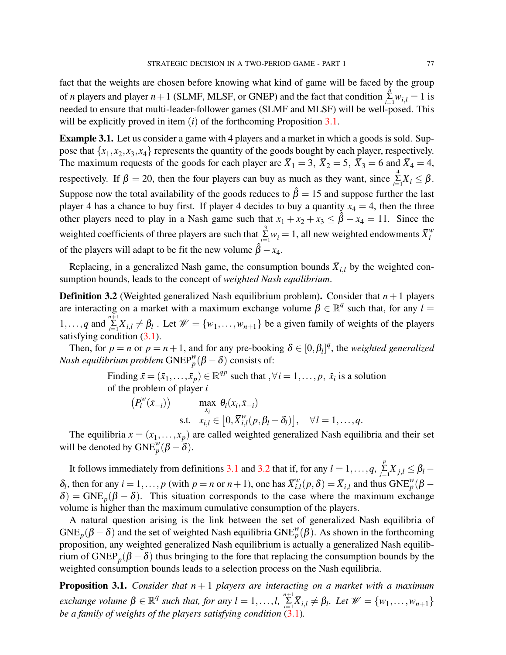fact that the weights are chosen before knowing what kind of game will be faced by the group of *n* players and player  $n + 1$  (SLMF, MLSF, or GNEP) and the fact that condition  $\sum_{i=1}^{n} w_{i,l} = 1$  is needed to ensure that multi-leader-follower games (SLMF and MLSF) will be well-posed. This will be explicitly proved in item (*i*) of the forthcoming Proposition [3.1.](#page-10-0)

**Example 3.1.** Let us consider a game with 4 players and a market in which a goods is sold. Suppose that  $\{x_1, x_2, x_3, x_4\}$  represents the quantity of the goods bought by each player, respectively. The maximum requests of the goods for each player are  $\overline{X}_1 = 3$ ,  $\overline{X}_2 = 5$ ,  $\overline{X}_3 = 6$  and  $\overline{X}_4 = 4$ , respectively. If  $\beta = 20$ , then the four players can buy as much as they want, since  $\sum_{i=1}^{4} \overline{X}_i \leq \beta$ . Suppose now the total availability of the goods reduces to  $\hat{\beta} = 15$  and suppose further the last player 4 has a chance to buy first. If player 4 decides to buy a quantity  $x_4 = 4$ , then the three other players need to play in a Nash game such that  $x_1 + x_2 + x_3 \leq \hat{\beta} - x_4 = 11$ . Since the weighted coefficients of three players are such that  $\sum_{i=1}^{3} w_i = 1$ , all new weighted endowments  $\overline{X}_i^w$ *i* of the players will adapt to be fit the new volume  $\hat{\beta} - x_4$ .

Replacing, in a generalized Nash game, the consumption bounds  $\bar{X}_{i,l}$  by the weighted consumption bounds, leads to the concept of *weighted Nash equilibrium*.

<span id="page-10-1"></span>**Definition 3.2** (Weighted generalized Nash equilibrium problem). Consider that  $n + 1$  players are interacting on a market with a maximum exchange volume  $\beta \in \mathbb{R}^q$  such that, for any  $l =$ 1,...,*q* and  $\sum_{i=1}^{n+1} \overline{X}_{i,l} \neq \beta_l$ . Let  $\mathcal{W} = \{w_1, \ldots, w_{n+1}\}$  be a given family of weights of the players satisfying condition [\(3.1\)](#page-9-0).

Then, for  $p = n$  or  $p = n + 1$ , and for any pre-booking  $\delta \in [0, \beta_l]^q$ , the *weighted generalized Nash equilibrium problem*  $\text{GNEP}^w_p(\beta - \delta)$  consists of:

> Finding  $\bar{x} = (\bar{x}_1, \dots, \bar{x}_p) \in \mathbb{R}^{qp}$  such that  $\forall i = 1, \dots, p$ ,  $\bar{x}_i$  is a solution of the problem of player *i*

$$
\begin{aligned}\n\left(P_i^{\mathcal{W}}(\bar{x}_{-i})\right) \qquad & \max_{x_i} \ \theta_i(x_i, \bar{x}_{-i}) \\
\text{s.t.} \quad & x_{i,l} \in \left[0, \bar{X}_{i,l}^{\mathcal{W}}(p, \beta_l - \delta_l)\right], \quad \forall l = 1, \dots, q.\n\end{aligned}
$$

The equilibria  $\bar{x} = (\bar{x}_1, \dots, \bar{x}_p)$  are called weighted generalized Nash equilibria and their set will be denoted by  $GNE_p^w(\beta - \delta)$ .

It follows immediately from definitions [3.1](#page-9-1) and [3.2](#page-10-1) that if, for any  $l = 1, ..., q$ ,  $\sum_{j=1}^{p} \overline{X}_{j,l} \leq \beta_l$  $\delta_l$ , then for any  $i = 1, ..., p$  (with  $p = n$  or  $n + 1$ ), one has  $\overline{X}_{i,j}^w$  $\sum_{i,l}^{w}(p,\delta) = \overline{X}_{i,l}$  and thus  $\text{GNE}_{p}^{w}(\beta - \delta)$  $\delta$ ) = GNE<sub>p</sub>( $\beta - \delta$ ). This situation corresponds to the case where the maximum exchange volume is higher than the maximum cumulative consumption of the players.

A natural question arising is the link between the set of generalized Nash equilibria of GNE<sub>p</sub> $(\beta - \delta)$  and the set of weighted Nash equilibria GNE<sup>w</sup><sub>p</sub> $(\beta)$ . As shown in the forthcoming proposition, any weighted generalized Nash equilibrium is actually a generalized Nash equilibrium of  $\text{GNEP}_p(\beta - \delta)$  thus bringing to the fore that replacing the consumption bounds by the weighted consumption bounds leads to a selection process on the Nash equilibria.

<span id="page-10-0"></span>**Proposition 3.1.** *Consider that n* + 1 *players are interacting on a market with a maximum*  $P(X|X) = \{x \in \mathbb{R}^d : |X| \leq \max\{x, y\} \}$  *exchange volume*  $\beta \in \mathbb{R}^d$  *such that, for any*  $l = 1, \ldots, l$ ,  $\sum_{i=1}^{n+1} \overline{X}_{i,l} \neq \beta_l$ . Let  $\mathcal{W} = \{w_1, \ldots, w_{n+1}\}$ *be a family of weights of the players satisfying condition*  $(3.1)$ *.*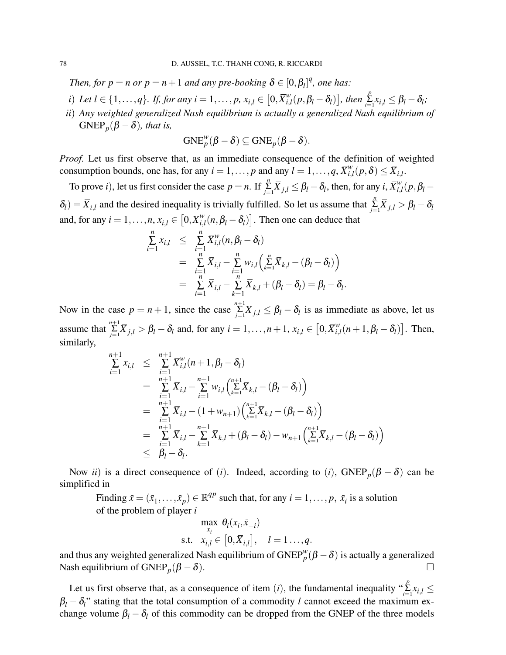*Then, for*  $p = n$  *or*  $p = n + 1$  *and any pre-booking*  $\delta \in [0, \beta_l]^q$ *, one has:* 

- *i*) *Let*  $l \in \{1, ..., q\}$ *. If, for any*  $i = 1, ..., p$ *, x*<sub>*i*,l</sub>  $\in [0, \overline{X}_{i,j}^w]$  $\left[\sum_{i,l}^{w}(p, \beta_l - \delta_l)\right]$ , then  $\sum_{i=1}^{p}x_{i,l} \leq \beta_l - \delta_l$ ;
- *ii*) *Any weighted generalized Nash equilibrium is actually a generalized Nash equilibrium of*  $GNEP_p(\beta - \delta)$ *, that is,*

$$
{\rm GNE}_{p}^{w}(\beta-\delta)\subseteq {\rm GNE}_{p}(\beta-\delta).
$$

*Proof.* Let us first observe that, as an immediate consequence of the definition of weighted consumption bounds, one has, for any  $i = 1, ..., p$  and any  $l = 1, ..., q$ ,  $\overline{X}_{i,j}^{w}$  $\sum_{i,l}^w(p,\boldsymbol{\delta}) \leq \overline{X}_{i,l}.$ 

To prove *i*), let us first consider the case  $p = n$ . If  $\sum_{j=1}^{n} \overline{X}_{j,l} \leq \beta_l - \delta_l$ , then, for any *i*,  $\overline{X}_{i,j}^w$  $\sum_{i,l}^w (p, \beta_l \delta_l$ ) =  $\overline{X}_{i,l}$  and the desired inequality is trivially fulfilled. So let us assume that  $\sum_{j=1}^{n} \overline{X}_{j,l} > \beta_l - \delta_l$ and, for any  $i = 1, \ldots, n$ ,  $x_{i,l} \in [0, \bar{X}_{i,l}^w]$  $\int_{i,l}^{w} (n, \beta_l - \delta_l)$ . Then one can deduce that

$$
\sum_{i=1}^{n} x_{i,l} \leq \sum_{i=1}^{n} \overline{X}_{i,l}^{w}(n, \beta_{l} - \delta_{l})
$$
\n
$$
= \sum_{i=1}^{n} \overline{X}_{i,l} - \sum_{i=1}^{n} w_{i,l} \left( \sum_{k=1}^{n} \overline{X}_{k,l} - (\beta_{l} - \delta_{l}) \right)
$$
\n
$$
= \sum_{i=1}^{n} \overline{X}_{i,l} - \sum_{k=1}^{n} \overline{X}_{k,l} + (\beta_{l} - \delta_{l}) = \beta_{l} - \delta_{l}
$$

.

Now in the case  $p = n + 1$ , since the case  $\sum_{j=1}^{n+1} \overline{X}_{j,l} \leq \beta_l - \delta_l$  is as immediate as above, let us assume that  $\sum_{j=1}^{n+1} \overline{X}_{j,l} > \beta_l - \delta_l$  and, for any  $i = 1, ..., n+1$ ,  $x_{i,l} \in [0, \overline{X}_{i,l}^w]$  $\int_{i,l}^{w} (n+1, \beta_l - \delta_l)$ . Then, similarly,

$$
\sum_{i=1}^{n+1} x_{i,l} \leq \sum_{i=1}^{n+1} \overline{X}_{i,l}^{w}(n+1, \beta_l - \delta_l)
$$
\n
$$
= \sum_{i=1}^{n+1} \overline{X}_{i,l} - \sum_{i=1}^{n+1} w_{i,l} (\sum_{k=1}^{n+1} \overline{X}_{k,l} - (\beta_l - \delta_l))
$$
\n
$$
= \sum_{i=1}^{n+1} \overline{X}_{i,l} - (1 + w_{n+1}) (\sum_{k=1}^{n+1} \overline{X}_{k,l} - (\beta_l - \delta_l))
$$
\n
$$
= \sum_{i=1}^{n+1} \overline{X}_{i,l} - \sum_{k=1}^{n+1} \overline{X}_{k,l} + (\beta_l - \delta_l) - w_{n+1} (\sum_{k=1}^{n+1} \overline{X}_{k,l} - (\beta_l - \delta_l))
$$
\n
$$
\leq \beta_l - \delta_l.
$$

Now *ii*) is a direct consequence of (*i*). Indeed, according to (*i*), GNEP<sub>p</sub>( $\beta - \delta$ ) can be simplified in

Finding  $\bar{x} = (\bar{x}_1, \dots, \bar{x}_p) \in \mathbb{R}^{qp}$  such that, for any  $i = 1, \dots, p$ ,  $\bar{x}_i$  is a solution of the problem of player *i*

$$
\max_{x_i} \theta_i(x_i, \bar{x}_{-i})
$$
  
s.t.  $x_{i,l} \in [0, \bar{X}_{i,l}], \quad l = 1 \dots, q.$ 

and thus any weighted generalized Nash equilibrium of  $\text{GNEP}_{p}^{w}(\beta - \delta)$  is actually a generalized Nash equilibrium of GNEP<sub>p</sub> $(\beta - \delta)$ .

Let us first observe that, as a consequence of item (*i*), the fundamental inequality " $\sum_{i=1}^{p} x_{i,l} \leq$  $\beta_l - \delta_l$ <sup>"</sup> stating that the total consumption of a commodity *l* cannot exceed the maximum exchange volume  $\beta_l - \delta_l$  of this commodity can be dropped from the GNEP of the three models

*i*=1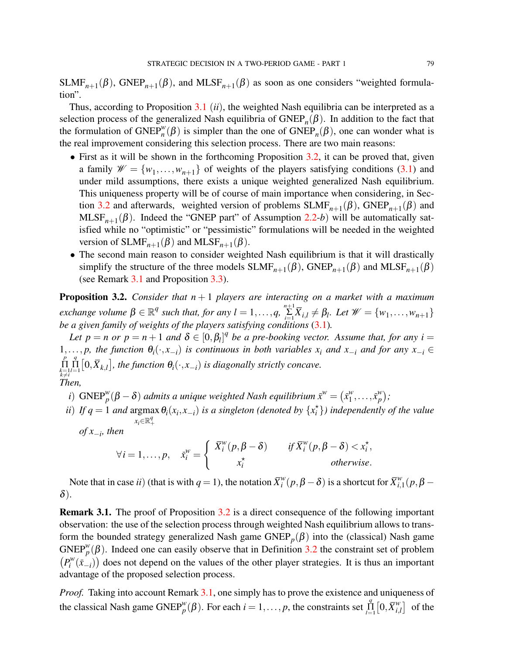$SLMF_{n+1}(\beta)$ , GNEP<sub>n+1</sub>( $\beta$ ), and MLSF<sub>n+1</sub>( $\beta$ ) as soon as one considers "weighted formulation".

Thus, according to Proposition [3.1](#page-10-0) (*ii*), the weighted Nash equilibria can be interpreted as a selection process of the generalized Nash equilibria of  $\text{GNEP}_n(\beta)$ . In addition to the fact that the formulation of  $\text{GNEP}_{n}^{w}(\beta)$  is simpler than the one of  $\text{GNEP}_{n}(\beta)$ , one can wonder what is the real improvement considering this selection process. There are two main reasons:

- First as it will be shown in the forthcoming Proposition [3.2,](#page-12-0) it can be proved that, given a family  $\mathcal{W} = \{w_1, \ldots, w_{n+1}\}\$  of weights of the players satisfying conditions [\(3.1\)](#page-9-0) and under mild assumptions, there exists a unique weighted generalized Nash equilibrium. This uniqueness property will be of course of main importance when considering, in Sec-tion [3.2](#page-14-0) and afterwards, weighted version of problems  $SLMF_{n+1}(\beta)$ ,  $GNEP_{n+1}(\beta)$  and  $MLSF_{n+1}(\beta)$ . Indeed the "GNEP part" of Assumption [2.2-](#page-5-0)*b*) will be automatically satisfied while no "optimistic" or "pessimistic" formulations will be needed in the weighted version of  $SLMF_{n+1}(\beta)$  and  $MLSF_{n+1}(\beta)$ .
- The second main reason to consider weighted Nash equilibrium is that it will drastically simplify the structure of the three models  $SLMF_{n+1}(\beta)$ ,  $GNEP_{n+1}(\beta)$  and  $MLSF_{n+1}(\beta)$ (see Remark [3.1](#page-12-1) and Proposition [3.3\)](#page-15-0).

<span id="page-12-0"></span>**Proposition 3.2.** *Consider that*  $n+1$  *players are interacting on a market with a maximum*  $P(X|X) = \{x \in \mathbb{R}^d : |X| \leq \max\{x, y\} \}$  *exchange volume*  $\beta \in \mathbb{R}^d$  *such that, for any*  $l = 1, \ldots, q$ ,  $\sum_{i=1}^{n+1} \overline{X}_{i,l} \neq \beta_l$ . Let  $\mathcal{W} = \{w_1, \ldots, w_{n+1}\}$ *be a given family of weights of the players satisfying conditions* [\(3.1\)](#page-9-0)*.*

Let  $p = n$  or  $p = n + 1$  and  $\delta \in [0, \beta_l]^q$  be a pre-booking vector. Assume that, for any  $i =$ 1,..., *p*, the function  $θ_i(·, x_{-i})$  is continuous in both variables  $x_i$  and  $x_{-i}$  and for any  $x_{-i}$  ∈  $\prod_{\substack{k=1 \ k \neq i}}^p$  $\prod_{l=1}^{q}$  [0, $\overline{X}_{k,l}$ ], the function  $\theta_i(\cdot, x_{-i})$  *is diagonally strictly concave. Then,*

- *i*)  $\text{GNEP}_{p}^{w}(\beta \delta)$  *admits a unique weighted Nash equilibrium*  $\bar{x}^{w} = (\bar{x}_{1}^{w})$  $y_1^w, \ldots, \bar{x}_p^w$ *p ;*
- *ii*) If  $q = 1$  and argmax  $\theta_i(x_i, x_{-i})$  is a singleton (denoted by  $\{x_i^{\star}\}\)$  independently of the value  $x_i \in \mathbb{R}^q_+$ *of x*−*<sup>i</sup> , then*

$$
\forall i = 1, \ldots, p, \quad \bar{x}_i^w = \begin{cases} \bar{X}_i^w(p, \beta - \delta) & \text{if } \bar{X}_i^w(p, \beta - \delta) < x_i^\star, \\ x_i^\star & \text{otherwise.} \end{cases}
$$

Note that in case *ii*) (that is with  $q = 1$ ), the notation  $\overline{X}_i^w$  $\int_a^w (p, \beta - \delta)$  is a shortcut for  $\bar{X}^w_{i, \delta}$  $\binom{w}{i,1}(p,\beta \delta$ ).

<span id="page-12-1"></span>**Remark 3.1.** The proof of Proposition [3.2](#page-12-0) is a direct consequence of the following important observation: the use of the selection process through weighted Nash equilibrium allows to transform the bounded strategy generalized Nash game  $GNEP_p(\beta)$  into the (classical) Nash game GNEP<sup>*w*</sup>( $\beta$ ). Indeed one can easily observe that in Definition [3.2](#page-10-1) the constraint set of problem  $(P_i^w)$  $p_i^{\mathcal{W}}(\bar{x}_{-i})$  does not depend on the values of the other player strategies. It is thus an important advantage of the proposed selection process.

*Proof.* Taking into account Remark [3.1,](#page-12-1) one simply has to prove the existence and uniqueness of the classical Nash game  $\text{GNEP}_{p}^{w}(\beta)$ . For each  $i = 1, ..., p$ , the constraints set  $\prod_{l=1}^{q} [0, \overline{X}_{i,l}^{w}]$  $\begin{bmatrix} w \\ i,l \end{bmatrix}$  of the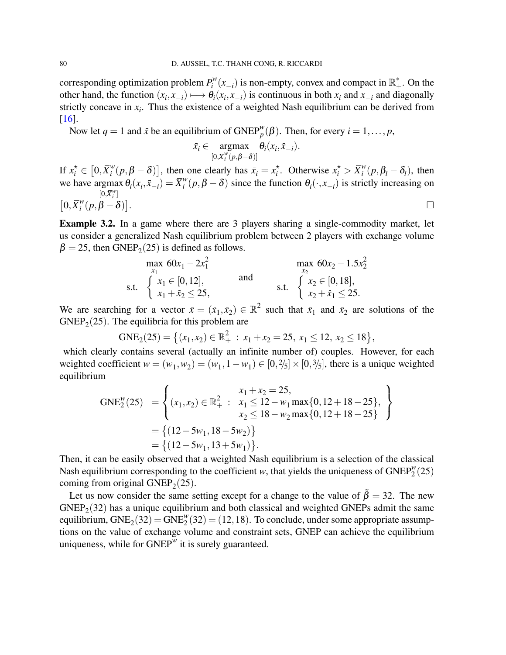corresponding optimization problem *P w*  $\int_{i}^{w}(x_{-i})$  is non-empty, convex and compact in  $\mathbb{R}^*$ . On the other hand, the function  $(x_i, x_{-i}) \mapsto \theta_i(x_i, x_{-i})$  is continuous in both  $x_i$  and  $x_{-i}$  and diagonally strictly concave in  $x_i$ . Thus the existence of a weighted Nash equilibrium can be derived from [\[16\]](#page-18-15).

Now let  $q = 1$  and  $\bar{x}$  be an equilibrium of  $\text{GNEP}_{p}^{w}(\beta)$ . Then, for every  $i = 1, ..., p$ ,

$$
\bar{x}_i \in \underset{[0,\overline{X}_i^w(p,\beta-\delta)]}{\operatorname{argmax}} \theta_i(x_i,\bar{x}_{-i}).
$$

If  $x_i^* \in [0, \overline{X}_i^w]$  $\left[ \begin{array}{c} w \\ w \end{array} \right]$  (*p*,  $\beta - \delta$ ) (*b*), then one clearly has  $\bar{x}_i = x_i^*$  $\overrightarrow{x_i}$ . Otherwise  $x_i^* > \overline{X_i^w}$  $i^w$  $(p, \beta_l - \delta_l)$ , then we have argmax  $\theta_i(x_i, \bar{x}_{-i}) = \bar{X}_i^w$  $[0,\overline{X}_i^w]$  $\theta_i^{\nu}(p, \beta - \delta)$  since the function  $\theta_i(\cdot, x_{-i})$  is strictly increasing on  $[0,\overline{X}_i^w]$  $_{i}^{w}(p, \beta - \delta)$ ] . В последните последните последните последните последните последните последните последните последните последн<br>В последните последните последните последните последните последните последните последните последните последнит

**Example 3.2.** In a game where there are 3 players sharing a single-commodity market, let us consider a generalized Nash equilibrium problem between 2 players with exchange volume  $\beta = 25$ , then GNEP<sub>2</sub>(25) is defined as follows.

$$
\begin{array}{ll}\n\max_{x_1} 60x_1 - 2x_1^2 & \max_{x_2} 60x_2 - 1.5x_2^2\\ \n\text{s.t.} & \n\begin{cases}\n x_1 \in [0, 12], \\
 x_1 + \bar{x}_2 \le 25,\n\end{cases} & \text{and} & \n\text{s.t.} & \n\begin{cases}\n x_2 \in [0, 18], \\
 x_2 + \bar{x}_1 \le 25.\n\end{cases}\n\end{array}
$$

We are searching for a vector  $\bar{x} = (\bar{x}_1, \bar{x}_2) \in \mathbb{R}^2$  such that  $\bar{x}_1$  and  $\bar{x}_2$  are solutions of the  $GNEP<sub>2</sub>(25)$ . The equilibria for this problem are

$$
GNE_2(25) = \left\{ (x_1, x_2) \in \mathbb{R}_+^2 : x_1 + x_2 = 25, x_1 \le 12, x_2 \le 18 \right\},\
$$

which clearly contains several (actually an infinite number of) couples. However, for each weighted coefficient  $w = (w_1, w_2) = (w_1, 1 - w_1) \in [0, \frac{2}{5}] \times [0, \frac{3}{5}]$ , there is a unique weighted equilibrium

GNE<sub>2</sub><sup>w</sup>(25) = 
$$
\begin{cases} x_1 + x_2 = 25, \\ (x_1, x_2) \in \mathbb{R}_+^2 : x_1 \le 12 - w_1 \max\{0, 12 + 18 - 25\}, \\ x_2 \le 18 - w_2 \max\{0, 12 + 18 - 25\} \end{cases}
$$

$$
= \{ (12 - 5w_1, 18 - 5w_2) \}
$$

$$
= \{ (12 - 5w_1, 13 + 5w_1) \}.
$$

Then, it can be easily observed that a weighted Nash equilibrium is a selection of the classical Nash equilibrium corresponding to the coefficient *w*, that yields the uniqueness of  $\text{GNEP}_{2}^{w}(25)$ coming from original  $GNEP_2(25)$ .

Let us now consider the same setting except for a change to the value of  $\beta = 32$ . The new  $GNEP<sub>2</sub>(32)$  has a unique equilibrium and both classical and weighted GNEPs admit the same equilibrium,  $GNE_2(32) = GNE_2^w(32) = (12, 18)$ . To conclude, under some appropriate assumptions on the value of exchange volume and constraint sets, GNEP can achieve the equilibrium uniqueness, while for  $\text{GNEP}^w$  it is surely guaranteed.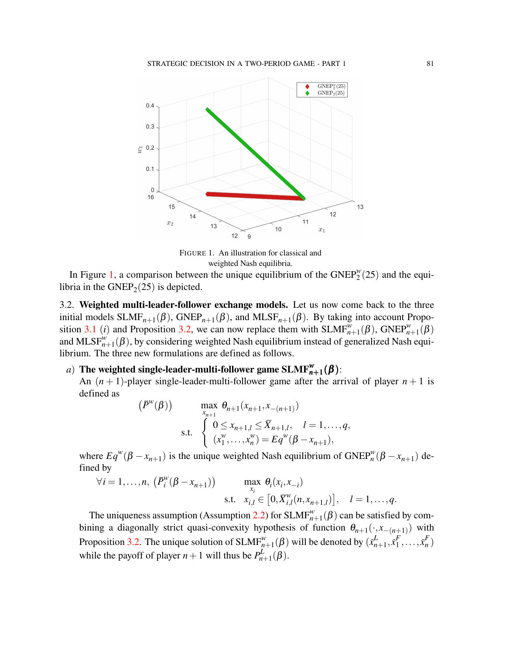<span id="page-14-1"></span>

FIGURE 1. An illustration for classical and weighted Nash equilibria.

In Figure [1,](#page-14-1) a comparison between the unique equilibrium of the  $GNEP_2^w(25)$  and the equilibria in the  $GNEP_2(25)$  is depicted.

<span id="page-14-0"></span>3.2. **Weighted multi-leader-follower exchange models.** Let us now come back to the three initial models  $SLMF_{n+1}(\beta)$ ,  $GNEP_{n+1}(\beta)$ , and  $MLSF_{n+1}(\beta)$ . By taking into account Propo-sition [3.1](#page-10-0) (*i*) and Proposition [3.2,](#page-12-0) we can now replace them with  $SLMF_{n+1}^w(\beta)$ ,  $GNEP_{n+1}^w(\beta)$ and MLSF $_{n+1}^{w}(β)$ , by considering weighted Nash equilibrium instead of generalized Nash equilibrium. The three new formulations are defined as follows.

# $a)$  The weighted single-leader-multi-follower game  $\text{SLMF}^w_{n+1}(\pmb{\beta})$  :

An  $(n + 1)$ -player single-leader-multi-follower game after the arrival of player  $n + 1$  is defined as

$$
(\bar{P}^w(\beta)) \qquad \max_{x_{n+1}} \theta_{n+1}(x_{n+1}, x_{-(n+1)})
$$
  
s.t. 
$$
\begin{cases} 0 \le x_{n+1,l} \le \bar{X}_{n+1,l}, & l = 1, ..., q, \\ (x_1^w, ..., x_n^w) = Eq^w(\beta - x_{n+1}), \end{cases}
$$

where  $Eq^{w}(\beta - x_{n+1})$  is the unique weighted Nash equilibrium of  $GNEP_n^w(\beta - x_{n+1})$  defined by

$$
\forall i = 1, ..., n, \ \left(\bar{P}_i^w(\beta - x_{n+1})\right) \qquad \max_{x_i} \theta_i(x_i, x_{-i})
$$
  
s.t.  $x_{i,l} \in \left[0, \bar{X}_{i,l}^w(n, x_{n+1,l})\right], \quad l = 1, ..., q.$ 

The uniqueness assumption (Assumption [2.2\)](#page-5-0) for  $SLMF^w_{n+1}(\beta)$  can be satisfied by combining a diagonally strict quasi-convexity hypothesis of function  $\theta_{n+1}(\cdot, x_{-(n+1)})$  with Proposition [3.2.](#page-12-0) The unique solution of  $SLMF^w_{n+1}(\beta)$  will be denoted by  $(\bar{x}_n^L)$  $_{n+1}^{L}, \bar{x}_{1}^{F}$  $\overline{X}_1^F, \ldots, \overline{X}_n^F$ *n* ) while the payoff of player  $n+1$  will thus be  $P_h^L$ .  $_{n+1}^{\mu}(\beta).$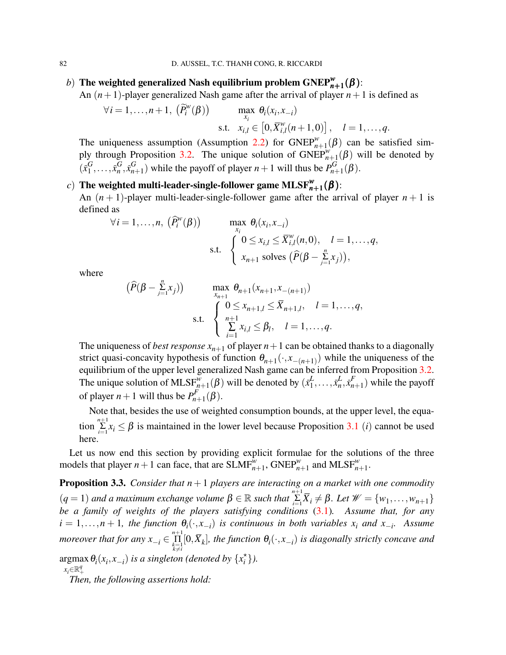# *b*) The weighted generalized Nash equilibrium problem  $\text{GNEP}_{n+1}^w(\boldsymbol{\beta})$ :

An  $(n+1)$ -player generalized Nash game after the arrival of player  $n+1$  is defined as

$$
\forall i = 1,\ldots,n+1, \quad (\widetilde{P}_i^w(\beta)) \quad \max_{x_i} \theta_i(x_i,x_{-i})
$$
  
s.t.  $x_{i,l} \in [0,\overline{X}_{i,l}^w(n+1,0)], \quad l=1,\ldots,q.$ 

The uniqueness assumption (Assumption [2.2\)](#page-5-0) for  $GNEP_{n+1}^w(\beta)$  can be satisfied sim-ply through Proposition [3.2.](#page-12-0) The unique solution of  $GNEP_{n+1}^{w}(β)$  will be denoted by  $(\bar{x}_1^G)$  $\overline{G}_1, \ldots, \overline{x}_n^G$  $_{n}^{G}$ ,  $\bar{x}_{n}^{G}$  $_{n+1}^G$ ) while the payoff of player  $n+1$  will thus be  $P_{n+1}^G$  $p_{n+1}^{\mathbf{G}}(\boldsymbol{\beta}).$ 

# $\epsilon$ ) The weighted multi-leader-single-follower game MLSF $_{\bm{n}+1}^{\bm{w}}(\bm{\beta})$  :

An  $(n + 1)$ -player multi-leader-single-follower game after the arrival of player  $n + 1$  is defined as

$$
\forall i = 1,\ldots,n, \quad (\widehat{P}_i^{\mathcal{W}}(\beta)) \qquad \max_{x_i} \theta_i(x_i, x_{-i})
$$
\ns.t. 
$$
\begin{cases} 0 \le x_{i,l} \le \overline{X}_{i,l}^{\mathcal{W}}(n,0), & l = 1,\ldots,q, \\ x_{n+1} \text{ solves } (\widehat{P}(\beta - \sum_{j=1}^n x_j)), \end{cases}
$$

where

$$
(\widehat{P}(\beta - \sum_{j=1}^{n} x_j)) \qquad \max_{x_{n+1}} \theta_{n+1}(x_{n+1}, x_{-(n+1)})
$$
  
s.t. 
$$
\begin{cases} 0 \le x_{n+1,l} \le \overline{X}_{n+1,l}, & l = 1, ..., q, \\ \sum_{i=1}^{n+1} x_{i,l} \le \beta_l, & l = 1, ..., q. \end{cases}
$$

The uniqueness of *best response*  $x_{n+1}$  of player  $n+1$  can be obtained thanks to a diagonally strict quasi-concavity hypothesis of function  $\theta_{n+1}(\cdot, x_{-(n+1)})$  while the uniqueness of the equilibrium of the upper level generalized Nash game can be inferred from Proposition [3.2.](#page-12-0) The unique solution of MLS $F_{n+1}^{\overline{w}}(\beta)$  will be denoted by  $(\overline{x}_1^L)$  $\frac{L}{1}, \ldots, \bar{x}_n^L$  $\frac{L}{n}, \bar{x}_n^F$  $_{n+1}^{r}$ ) while the payoff of player  $n+1$  will thus be  $P_{n-1}^F$  $p_{n+1}^r(\beta).$ 

Note that, besides the use of weighted consumption bounds, at the upper level, the equation  $\sum_{i=1}^{n+1} x_i \leq \beta$  is maintained in the lower level because Proposition [3.1](#page-10-0) *(i)* cannot be used here.

Let us now end this section by providing explicit formulae for the solutions of the three models that player  $n+1$  can face, that are  $SLMF_{n+1}^{\hat{w}}$ ,  $GNEP_{n+1}^{\hat{w}}$  and  $MLSF_{n+1}^{\hat{w}}$ .

<span id="page-15-0"></span>**Proposition 3.3.** *Consider that n*+1 *players are interacting on a market with one commodity*  $(q = 1)$  and a maximum exchange volume  $\beta \in \mathbb{R}$  such that  $\sum_{i=1}^{n+1} \overline{X}_i \neq \beta$ . Let  $\mathcal{W} = \{w_1, \ldots, w_{n+1}\}$ *be a family of weights of the players satisfying conditions* [\(3.1\)](#page-9-0)*. Assume that, for any*  $i = 1, \ldots, n + 1$ , the function  $\theta_i(\cdot, x_{-i})$  is continuous in both variables  $x_i$  and  $x_{-i}$ . Assume *moreover that for any*  $x_{-i} \in \prod_{\substack{k=1 \ k \neq i}}^{n+1} [0, \bar{X}_k]$ , the function  $\theta_i(\cdot, x_{-i})$  is diagonally strictly concave and  $argmax \theta_i(x_i, x_{-i})$  *is a singleton (denoted by*  $\{x_i^{\star}\}\$ ).

 $x_i$ ∈R<sup>q</sup>

*Then, the following assertions hold:*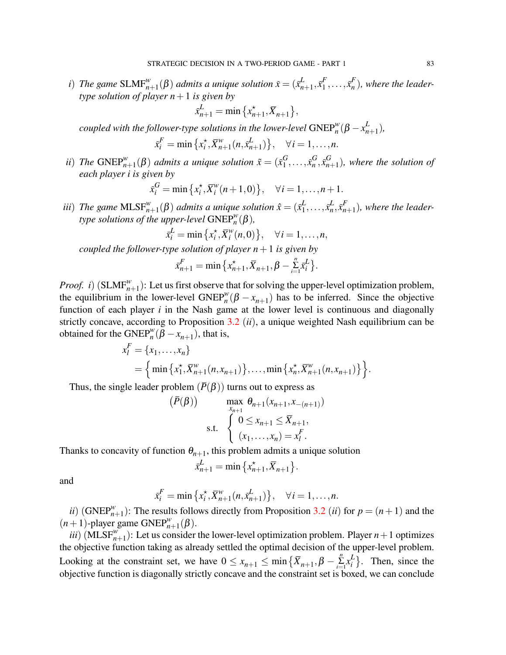*i*) *The game*  $SLMF_{n+1}^w(\beta)$  *admits a unique solution*  $\bar{x} = (\bar{x}_n^L)$  $_{n+1}^{L}, \bar{x}_1^{F}$  $\overline{X}_1^F, \ldots, \overline{X}_n^F$ *n* )*, where the leadertype solution of player*  $n+1$  *is given by* 

$$
\bar{x}_{n+1}^L = \min\{x_{n+1}^*, \bar{X}_{n+1}\},\
$$

*coupled with the follower-type solutions in the lower-level*  $\text{GNEP}^w_n(\beta - x_n^L)$  $_{n+1}^{L}$ ),

$$
\bar{x}_i^F = \min \{ x_i^*, \bar{X}_{n+1}^w(n, \bar{x}_{n+1}^L) \}, \quad \forall i = 1, ..., n.
$$

*ii*) *The*  $\text{GNEP}_{n+1}^w(\beta)$  *admits a unique solution*  $\tilde{x} = (\tilde{x}_1^G)$  $\overline{G}_1, \ldots, \overline{x}_n^G$  $_{n}^{G}$ ,  $\bar{x}_{n}^{G}$ *n*+1 )*, where the solution of each player i is given by*

$$
\bar{x}_i^G = \min \{ x_i^*, \bar{X}_i^w(n+1,0) \}, \quad \forall i = 1,...,n+1.
$$

*iii*) *The game*  $\text{MLSF}^w_{n+1}(\beta)$  *admits a unique solution*  $\hat{x} = (\bar{x}_1^L)$  $\frac{L}{1}, \ldots, \bar{x}_n^L$  $\frac{L}{n}, \bar{x}_n^F$ *n*+1 )*, where the leadertype solutions of the upper-level*  $\text{GNEP}^w_n(\beta)$ *,* 

$$
\bar{x}_i^L = \min\left\{x_i^*, \bar{X}_i^w(n,0)\right\}, \quad \forall i = 1,\ldots,n,
$$

*coupled the follower-type solution of player*  $n+1$  *is given by* 

$$
\bar{x}_{n+1}^F = \min \{ x_{n+1}^*, \bar{X}_{n+1}, \beta - \sum_{i=1}^n \bar{x}_i^L \}.
$$

*Proof. i*) (SLMF $_{n+1}^w$ ): Let us first observe that for solving the upper-level optimization problem, the equilibrium in the lower-level  $\text{GNEP}_{n}^{w}(\beta - x_{n+1})$  has to be inferred. Since the objective function of each player *i* in the Nash game at the lower level is continuous and diagonally strictly concave, according to Proposition [3.2](#page-12-0) (*ii*), a unique weighted Nash equilibrium can be obtained for the GNEP<sup>*w*</sup> ( $\beta - x_{n+1}$ ), that is,

$$
x_l^F = \{x_1, \dots, x_n\}
$$
  
=  $\left\{\min \{x_1^*, \overline{X}_{n+1}^w(n, x_{n+1})\}, \dots, \min \{x_n^*, \overline{X}_{n+1}^w(n, x_{n+1})\}\right\}.$ 

Thus, the single leader problem  $(\bar{P}(\beta))$  turns out to express as

$$
(\bar{P}(\beta)) \qquad \max_{x_{n+1}} \theta_{n+1}(x_{n+1}, x_{-(n+1)})
$$
  
s.t. 
$$
\begin{cases} 0 \le x_{n+1} \le \bar{X}_{n+1}, \\ (x_1, \dots, x_n) = x_l^F. \end{cases}
$$

Thanks to concavity of function  $\theta_{n+1}$ , this problem admits a unique solution

$$
\bar{x}_{n+1}^L = \min \{ x_{n+1}^*, \bar{X}_{n+1} \}.
$$

and

$$
\bar{x}_i^F = \min\left\{x_i^\star, \bar{X}_{n+1}^w(n, \bar{x}_{n+1}^L)\right\}, \quad \forall i = 1, \ldots, n.
$$

*ii*) (GNEP<sup>*w*</sup><sub>*n*+1</sub>): The results follows directly from Proposition [3.2](#page-12-0) *(ii)* for  $p = (n+1)$  and the  $(n+1)$ -player game GNEP<sup>*w*</sup><sub>*n*+1</sub>( $\beta$ ).

*iii*) (MLSF $_{n+1}^w$ ): Let us consider the lower-level optimization problem. Player *n* + 1 optimizes the objective function taking as already settled the optimal decision of the upper-level problem. Looking at the constraint set, we have  $0 \le x_{n+1} \le \min\left\{ \overline{X}_{n+1}, \beta - \sum_{i=1}^{n} x_i^L \right\}$  $\left\{\begin{array}{c} L \\ i \end{array}\right\}$ . Then, since the objective function is diagonally strictly concave and the constraint set is boxed, we can conclude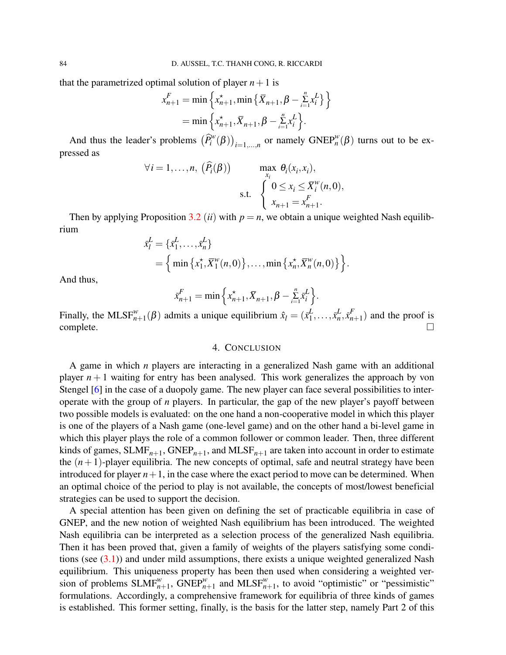that the parametrized optimal solution of player  $n+1$  is

$$
x_{n+1}^F = \min \left\{ x_{n+1}^*, \min \left\{ \bar{X}_{n+1}, \beta - \sum_{i=1}^n x_i^L \right\} \right\}
$$
  
= 
$$
\min \left\{ x_{n+1}^*, \bar{X}_{n+1}, \beta - \sum_{i=1}^n x_i^L \right\}.
$$

And thus the leader's problems  $(\widehat{P}_i^w(\beta))_{i=1,\dots,n}$  or namely  $\text{GNEP}_n^w(\beta)$  turns out to be expressed as

$$
\forall i = 1, \dots, n, \; (\widehat{P}_i(\beta)) \qquad \max_{x_i} \theta_i(x_i, x_i),
$$
  
s.t. 
$$
\begin{cases} 0 \le x_i \le \overline{X}_i^w(n,0), \\ x_{n+1} = x_{n+1}^F. \end{cases}
$$

Then by applying Proposition [3.2](#page-12-0) *(ii)* with  $p = n$ , we obtain a unique weighted Nash equilibrium

$$
\bar{x}_l^L = \{\bar{x}_1^L, \dots, \bar{x}_n^L\} \n= \left\{ \min \{x_1^*, \bar{X}_1^w(n,0)\}, \dots, \min \{x_n^*, \bar{X}_n^w(n,0)\} \right\}.
$$

And thus,

$$
\bar{x}_{n+1}^F = \min \left\{ x_{n+1}^*, \bar{X}_{n+1}, \beta - \sum_{i=1}^n \bar{x}_i^L \right\}.
$$

Finally, the MLSF $_{n+1}^w(\beta)$  admits a unique equilibrium  $\hat{x}_l = (\bar{x}_1^L)$  $\frac{L}{1}, \ldots, \bar{x}_n^L$  $\frac{L}{n}, \bar{x}_n^F$  $_{n+1}^{r}$ ) and the proof is complete.  $\Box$ 

### 4. CONCLUSION

A game in which *n* players are interacting in a generalized Nash game with an additional player  $n+1$  waiting for entry has been analysed. This work generalizes the approach by von Stengel [\[6\]](#page-18-5) in the case of a duopoly game. The new player can face several possibilities to interoperate with the group of *n* players. In particular, the gap of the new player's payoff between two possible models is evaluated: on the one hand a non-cooperative model in which this player is one of the players of a Nash game (one-level game) and on the other hand a bi-level game in which this player plays the role of a common follower or common leader. Then, three different kinds of games,  $SLMF_{n+1}$ ,  $GNEP_{n+1}$ , and  $MLSF_{n+1}$  are taken into account in order to estimate the  $(n+1)$ -player equilibria. The new concepts of optimal, safe and neutral strategy have been introduced for player  $n+1$ , in the case where the exact period to move can be determined. When an optimal choice of the period to play is not available, the concepts of most/lowest beneficial strategies can be used to support the decision.

A special attention has been given on defining the set of practicable equilibria in case of GNEP, and the new notion of weighted Nash equilibrium has been introduced. The weighted Nash equilibria can be interpreted as a selection process of the generalized Nash equilibria. Then it has been proved that, given a family of weights of the players satisfying some conditions (see  $(3.1)$ ) and under mild assumptions, there exists a unique weighted generalized Nash equilibrium. This uniqueness property has been then used when considering a weighted version of problems  $SLMF_{n+1}^w$ ,  $GNEP_{n+1}^w$  and  $MLSF_{n+1}^w$ , to avoid "optimistic" or "pessimistic" formulations. Accordingly, a comprehensive framework for equilibria of three kinds of games is established. This former setting, finally, is the basis for the latter step, namely Part 2 of this